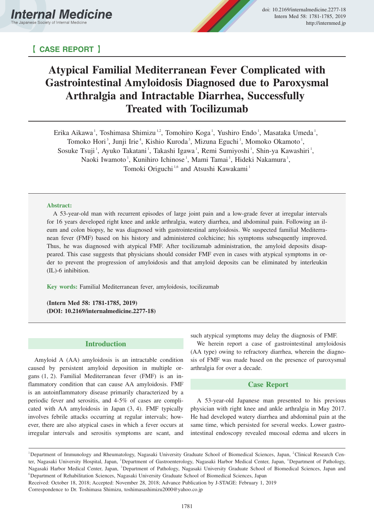# 【 **CASE REPORT** 】

# **Atypical Familial Mediterranean Fever Complicated with Gastrointestinal Amyloidosis Diagnosed due to Paroxysmal Arthralgia and Intractable Diarrhea, Successfully Treated with Tocilizumab**

Erika Aikawa<sup>1</sup>, Toshimasa Shimizu<sup>1,2</sup>, Tomohiro Koga<sup>1</sup>, Yushiro Endo<sup>1</sup>, Masataka Umeda<sup>1</sup>, Tomoko Hori<sup>3</sup>, Junji Irie<sup>4</sup>, Kishio Kuroda<sup>5</sup>, Mizuna Eguchi<sup>1</sup>, Momoko Okamoto<sup>1</sup>, Sosuke Tsuji<sup>1</sup>, Ayuko Takatani<sup>1</sup>, Takashi Igawa<sup>1</sup>, Remi Sumiyoshi<sup>1</sup>, Shin-ya Kawashiri<sup>1</sup>, Naoki Iwamoto<sup>1</sup>, Kunihiro Ichinose<sup>1</sup>, Mami Tamai<sup>1</sup>, Hideki Nakamura<sup>1</sup>, Tomoki Origuchi<sup>1,6</sup> and Atsushi Kawakami<sup>1</sup>

#### **Abstract:**

A 53-year-old man with recurrent episodes of large joint pain and a low-grade fever at irregular intervals for 16 years developed right knee and ankle arthralgia, watery diarrhea, and abdominal pain. Following an ileum and colon biopsy, he was diagnosed with gastrointestinal amyloidosis. We suspected familial Mediterranean fever (FMF) based on his history and administered colchicine; his symptoms subsequently improved. Thus, he was diagnosed with atypical FMF. After tocilizumab administration, the amyloid deposits disappeared. This case suggests that physicians should consider FMF even in cases with atypical symptoms in order to prevent the progression of amyloidosis and that amyloid deposits can be eliminated by interleukin (IL)-6 inhibition.

**Key words:** Familial Mediterranean fever, amyloidosis, tocilizumab

**(Intern Med 58: 1781-1785, 2019) (DOI: 10.2169/internalmedicine.2277-18)**

### **Introduction**

Amyloid A (AA) amyloidosis is an intractable condition caused by persistent amyloid deposition in multiple organs (1, 2). Familial Mediterranean fever (FMF) is an inflammatory condition that can cause AA amyloidosis. FMF is an autoinflammatory disease primarily characterized by a periodic fever and serositis, and 4-5% of cases are complicated with AA amyloidosis in Japan (3, 4). FMF typically involves febrile attacks occurring at regular intervals; however, there are also atypical cases in which a fever occurs at irregular intervals and serositis symptoms are scant, and such atypical symptoms may delay the diagnosis of FMF.

We herein report a case of gastrointestinal amyloidosis (AA type) owing to refractory diarrhea, wherein the diagnosis of FMF was made based on the presence of paroxysmal arthralgia for over a decade.

## **Case Report**

A 53-year-old Japanese man presented to his previous physician with right knee and ankle arthralgia in May 2017. He had developed watery diarrhea and abdominal pain at the same time, which persisted for several weeks. Lower gastrointestinal endoscopy revealed mucosal edema and ulcers in

<sup>&</sup>lt;sup>1</sup>Department of Immunology and Rheumatology, Nagasaki University Graduate School of Biomedical Sciences, Japan, <sup>2</sup>Clinical Research Center, Nagasaki University Hospital, Japan, <sup>3</sup>Department of Gastroenterology, Nagasaki Harbor Medical Center, Japan, <sup>4</sup>Department of Pathology, Nagasaki Harbor Medical Center, Japan, <sup>5</sup>Department of Pathology, Nagasaki University Graduate School of Biomedical Sciences, Japan and <sup>6</sup>Department of Rehabilitation Sciences, Nagasaki University Graduate School of Biomedical Sciences, Japan

Received: October 18, 2018; Accepted: November 28, 2018; Advance Publication by J-STAGE: February 1, 2019

Correspondence to Dr. Toshimasa Shimizu, toshimasashimizu2000@yahoo.co.jp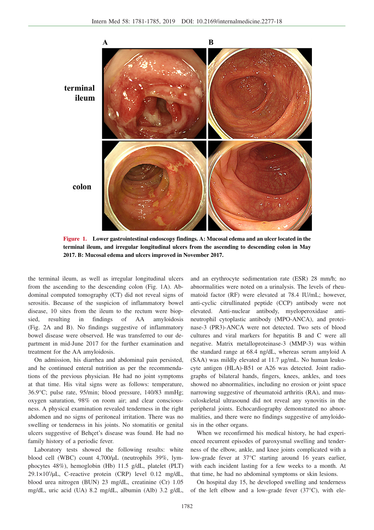

**Figure 1. Lower gastrointestinal endoscopy findings. A: Mucosal edema and an ulcer located in the terminal ileum, and irregular longitudinal ulcers from the ascending to descending colon in May 2017. B: Mucosal edema and ulcers improved in November 2017.**

the terminal ileum, as well as irregular longitudinal ulcers from the ascending to the descending colon (Fig. 1A). Abdominal computed tomography (CT) did not reveal signs of serositis. Because of the suspicion of inflammatory bowel disease, 10 sites from the ileum to the rectum were biopsied, resulting in findings of AA amyloidosis (Fig. 2A and B). No findings suggestive of inflammatory bowel disease were observed. He was transferred to our department in mid-June 2017 for the further examination and treatment for the AA amyloidosis.

On admission, his diarrhea and abdominal pain persisted, and he continued enteral nutrition as per the recommendations of the previous physician. He had no joint symptoms at that time. His vital signs were as follows: temperature, 36.9°C; pulse rate, 95/min; blood pressure, 140/83 mmHg; oxygen saturation, 98% on room air; and clear consciousness. A physical examination revealed tenderness in the right abdomen and no signs of peritoneal irritation. There was no swelling or tenderness in his joints. No stomatitis or genital ulcers suggestive of Behçet's disease was found. He had no family history of a periodic fever.

Laboratory tests showed the following results: white blood cell (WBC) count 4,700/μL (neutrophils 39%, lymphocytes 48%), hemoglobin (Hb) 11.5 g/dL, platelet (PLT) 29.1×104 /μL, C-reactive protein (CRP) level 0.12 mg/dL, blood urea nitrogen (BUN) 23 mg/dL, creatinine (Cr) 1.05 mg/dL, uric acid (UA) 8.2 mg/dL, albumin (Alb) 3.2 g/dL,

and an erythrocyte sedimentation rate (ESR) 28 mm/h; no abnormalities were noted on a urinalysis. The levels of rheumatoid factor (RF) were elevated at 78.4 IU/mL; however, anti-cyclic citrullinated peptide (CCP) antibody were not elevated. Anti-nuclear antibody, myeloperoxidase antineutrophil cytoplastic antibody (MPO-ANCA), and proteinase-3 (PR3)-ANCA were not detected. Two sets of blood cultures and viral markers for hepatitis B and C were all negative. Matrix metalloproteinase-3 (MMP-3) was within the standard range at 68.4 ng/dL, whereas serum amyloid A (SAA) was mildly elevated at 11.7 μg/mL. No human leukocyte antigen (HLA)-B51 or A26 was detected. Joint radiographs of bilateral hands, fingers, knees, ankles, and toes showed no abnormalities, including no erosion or joint space narrowing suggestive of rheumatoid arthritis (RA), and musculoskeletal ultrasound did not reveal any synovitis in the peripheral joints. Echocardiography demonstrated no abnormalities, and there were no findings suggestive of amyloidosis in the other organs.

When we reconfirmed his medical history, he had experienced recurrent episodes of paroxysmal swelling and tenderness of the elbow, ankle, and knee joints complicated with a low-grade fever at 37°C starting around 16 years earlier, with each incident lasting for a few weeks to a month. At that time, he had no abdominal symptoms or skin lesions.

On hospital day 15, he developed swelling and tenderness of the left elbow and a low-grade fever  $(37^{\circ}C)$ , with ele-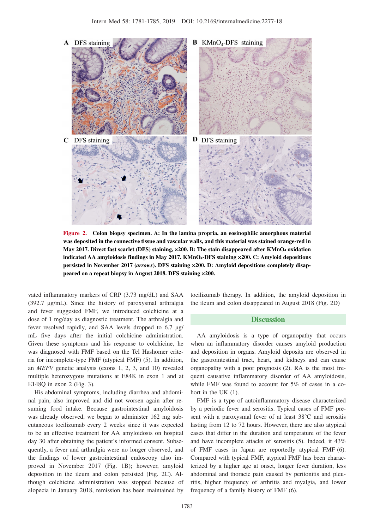

**Figure 2. Colon biopsy specimen. A: In the lamina propria, an eosinophilic amorphous material was deposited in the connective tissue and vascular walls, and this material was stained orange-red in May 2017. Direct fast scarlet (DFS) staining, ×200. B: The stain disappeared after KMnO4 oxidation indicated AA amyloidosis findings in May 2017. KMnO4-DFS staining ×200. C: Amyloid depositions persisted in November 2017 (***arrows***). DFS staining ×200. D: Amyloid depositions completely disappeared on a repeat biopsy in August 2018. DFS staining ×200.**

vated inflammatory markers of CRP (3.73 mg/dL) and SAA (392.7 μg/mL). Since the history of paroxysmal arthralgia and fever suggested FMF, we introduced colchicine at a dose of 1 mg/day as diagnostic treatment. The arthralgia and fever resolved rapidly, and SAA levels dropped to 6.7 μg/ mL five days after the initial colchicine administration. Given these symptoms and his response to colchicine, he was diagnosed with FMF based on the Tel Hashomer criteria for incomplete-type FMF (atypical FMF) (5). In addition, an *MEFV* genetic analysis (exons 1, 2, 3, and 10) revealed multiple heterozygous mutations at E84K in exon 1 and at E148Q in exon 2 (Fig. 3).

His abdominal symptoms, including diarrhea and abdominal pain, also improved and did not worsen again after resuming food intake. Because gastrointestinal amyloidosis was already observed, we began to administer 162 mg subcutaneous tocilizumab every 2 weeks since it was expected to be an effective treatment for AA amyloidosis on hospital day 30 after obtaining the patient's informed consent. Subsequently, a fever and arthralgia were no longer observed, and the findings of lower gastrointestinal endoscopy also improved in November 2017 (Fig. 1B); however, amyloid deposition in the ileum and colon persisted (Fig. 2C). Although colchicine administration was stopped because of alopecia in January 2018, remission has been maintained by

tocilizumab therapy. In addition, the amyloid deposition in the ileum and colon disappeared in August 2018 (Fig. 2D)

### **Discussion**

AA amyloidosis is a type of organopathy that occurs when an inflammatory disorder causes amyloid production and deposition in organs. Amyloid deposits are observed in the gastrointestinal tract, heart, and kidneys and can cause organopathy with a poor prognosis (2). RA is the most frequent causative inflammatory disorder of AA amyloidosis, while FMF was found to account for 5% of cases in a cohort in the UK (1).

FMF is a type of autoinflammatory disease characterized by a periodic fever and serositis. Typical cases of FMF present with a paroxysmal fever of at least 38°C and serositis lasting from 12 to 72 hours. However, there are also atypical cases that differ in the duration and temperature of the fever and have incomplete attacks of serositis (5). Indeed, it 43% of FMF cases in Japan are reportedly atypical FMF (6). Compared with typical FMF, atypical FMF has been characterized by a higher age at onset, longer fever duration, less abdominal and thoracic pain caused by peritonitis and pleuritis, higher frequency of arthritis and myalgia, and lower frequency of a family history of FMF (6).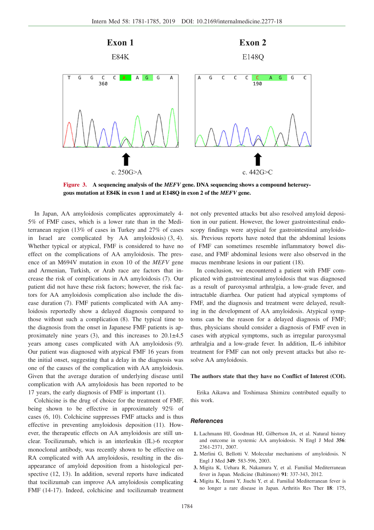

**Figure 3. A sequencing analysis of the** *MEFV* **gene. DNA sequencing shows a compound heterozygous mutation at E84K in exon 1 and at E148Q in exon 2 of the** *MEFV* **gene.**

In Japan, AA amyloidosis complicates approximately 4- 5% of FMF cases, which is a lower rate than in the Mediterranean region (13% of cases in Turkey and 27% of cases in Israel are complicated by AA amyloidosis) (3, 4). Whether typical or atypical, FMF is considered to have no effect on the complications of AA amyloidosis. The presence of an M694V mutation in exon 10 of the *MEFV* gene and Armenian, Turkish, or Arab race are factors that increase the risk of complications in AA amyloidosis (7). Our patient did not have these risk factors; however, the risk factors for AA amyloidosis complication also include the disease duration (7). FMF patients complicated with AA amyloidosis reportedly show a delayed diagnosis compared to those without such a complication (8). The typical time to the diagnosis from the onset in Japanese FMF patients is approximately nine years  $(3)$ , and this increases to  $20.1\pm4.5$ years among cases complicated with AA amyloidosis (9). Our patient was diagnosed with atypical FMF 16 years from the initial onset, suggesting that a delay in the diagnosis was one of the causes of the complication with AA amyloidosis. Given that the average duration of underlying disease until complication with AA amyloidosis has been reported to be 17 years, the early diagnosis of FMF is important (1).

Colchicine is the drug of choice for the treatment of FMF, being shown to be effective in approximately 92% of cases (6, 10). Colchicine suppresses FMF attacks and is thus effective in preventing amyloidosis deposition (11). However, the therapeutic effects on AA amyloidosis are still unclear. Tocilizumab, which is an interleukin (IL)-6 receptor monoclonal antibody, was recently shown to be effective on RA complicated with AA amyloidosis, resulting in the disappearance of amyloid deposition from a histological perspective (12, 13). In addition, several reports have indicated that tocilizumab can improve AA amyloidosis complicating FMF (14-17). Indeed, colchicine and tocilizumab treatment not only prevented attacks but also resolved amyloid deposition in our patient. However, the lower gastrointestinal endoscopy findings were atypical for gastrointestinal amyloidosis. Previous reports have noted that the abdominal lesions of FMF can sometimes resemble inflammatory bowel disease, and FMF abdominal lesions were also observed in the mucus membrane lesions in our patient (18).

In conclusion, we encountered a patient with FMF complicated with gastrointestinal amyloidosis that was diagnosed as a result of paroxysmal arthralgia, a low-grade fever, and intractable diarrhea. Our patient had atypical symptoms of FMF, and the diagnosis and treatment were delayed, resulting in the development of AA amyloidosis. Atypical symptoms can be the reason for a delayed diagnosis of FMF; thus, physicians should consider a diagnosis of FMF even in cases with atypical symptoms, such as irregular paroxysmal arthralgia and a low-grade fever. In addition, IL-6 inhibitor treatment for FMF can not only prevent attacks but also resolve AA amyloidosis.

#### **The authors state that they have no Conflict of Interest (COI).**

Erika Aikawa and Toshimasa Shimizu contributed equally to this work.

#### **References**

- **1.** Lachmann HJ, Goodman HJ, Gilbertson JA, et al. Natural history and outcome in systemic AA amyloidosis. N Engl J Med **356**: 2361-2371, 2007.
- **2.** Merlini G, Bellotti V. Molecular mechanisms of amyloidosis. N Engl J Med **349**: 583-596, 2003.
- **3.** Migita K, Uehara R, Nakamura Y, et al. Familial Mediterranean fever in Japan. Medicine (Baltimore) **91**: 337-343, 2012.
- **4.** Migita K, Izumi Y, Jiuchi Y, et al. Familial Mediterranean fever is no longer a rare disease in Japan. Arthritis Res Ther **18**: 175,